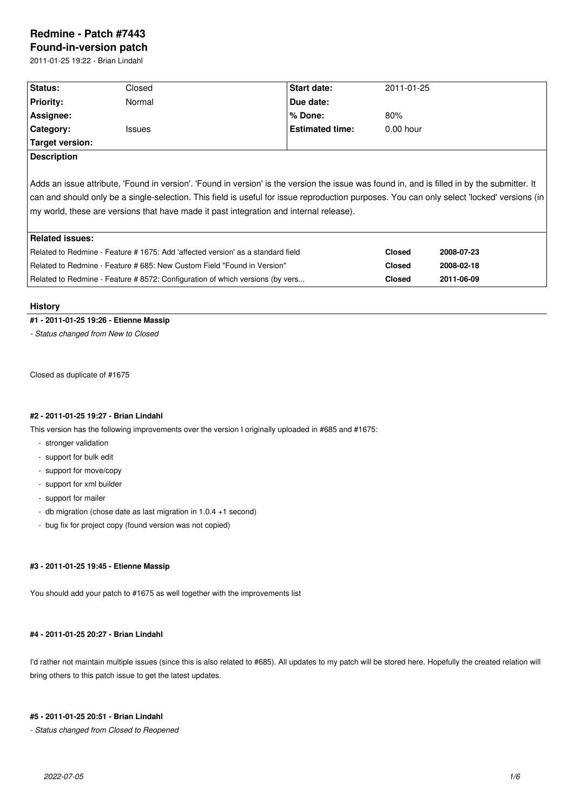# **Redmine - Patch #7443**

**Found-in-version patch** 2011-01-25 19:22 - Brian Lindahl

| Status:                                                                                                                                                                                                                                                                                                                                                                              | Closed        | <b>Start date:</b>     | 2011-01-25  |  |  |  |  |
|--------------------------------------------------------------------------------------------------------------------------------------------------------------------------------------------------------------------------------------------------------------------------------------------------------------------------------------------------------------------------------------|---------------|------------------------|-------------|--|--|--|--|
| <b>Priority:</b>                                                                                                                                                                                                                                                                                                                                                                     | Normal        | Due date:              |             |  |  |  |  |
| Assignee:                                                                                                                                                                                                                                                                                                                                                                            |               | % Done:                | 80%         |  |  |  |  |
| Category:                                                                                                                                                                                                                                                                                                                                                                            | <b>Issues</b> | <b>Estimated time:</b> | $0.00$ hour |  |  |  |  |
| Target version:                                                                                                                                                                                                                                                                                                                                                                      |               |                        |             |  |  |  |  |
| <b>Description</b>                                                                                                                                                                                                                                                                                                                                                                   |               |                        |             |  |  |  |  |
| Adds an issue attribute, 'Found in version'. 'Found in version' is the version the issue was found in, and is filled in by the submitter. It<br>can and should only be a single-selection. This field is useful for issue reproduction purposes. You can only select 'locked' versions (in<br>my world, these are versions that have made it past integration and internal release). |               |                        |             |  |  |  |  |

| Related issues:                                                                 |        |            |
|---------------------------------------------------------------------------------|--------|------------|
| Related to Redmine - Feature # 1675: Add 'affected version' as a standard field | Closed | 2008-07-23 |
| Related to Redmine - Feature # 685: New Custom Field "Found in Version"         | Closed | 2008-02-18 |
| Related to Redmine - Feature # 8572: Configuration of which versions (by vers   | Closed | 2011-06-09 |

### **History**

# **#1 - 2011-01-25 19:26 - Etienne Massip**

*- Status changed from New to Closed*

Closed as duplicate of #1675

# **#2 - 2011-01-25 19:27 - Brian Lindahl**

This version has the following improvements over the version I originally uploaded in #685 and #1675:

- stronger validation
- support for bulk edit
- support for move/copy
- support for xml builder
- support for mailer
- db migration (chose date as last migration in 1.0.4 +1 second)
- bug fix for project copy (found version was not copied)

### **#3 - 2011-01-25 19:45 - Etienne Massip**

You should add your patch to #1675 as well together with the improvements list

# **#4 - 2011-01-25 20:27 - Brian Lindahl**

I'd rather not maintain multiple issues (since this is also related to #685). All updates to my patch will be stored here. Hopefully the created relation will bring others to this patch issue to get the latest updates.

#### **#5 - 2011-01-25 20:51 - Brian Lindahl**

*- Status changed from Closed to Reopened*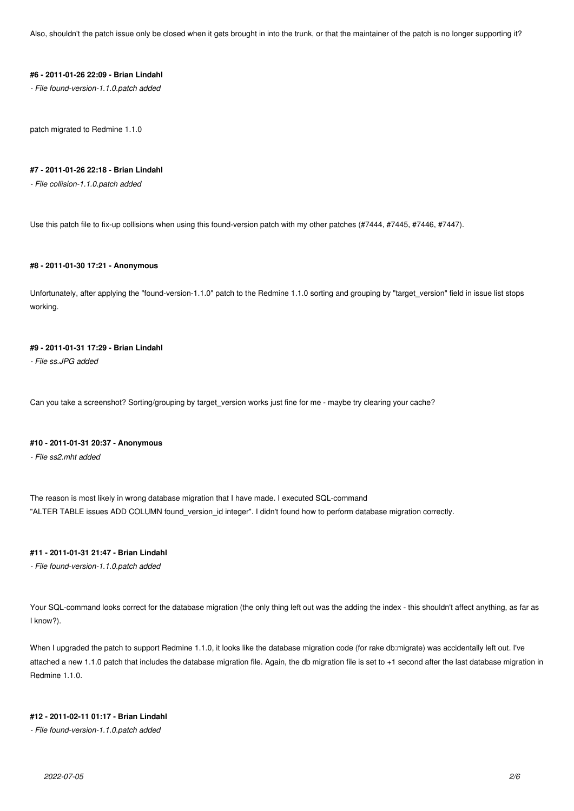Also, shouldn't the patch issue only be closed when it gets brought in into the trunk, or that the maintainer of the patch is no longer supporting it?

#### **#6 - 2011-01-26 22:09 - Brian Lindahl**

*- File found-version-1.1.0.patch added*

patch migrated to Redmine 1.1.0

### **#7 - 2011-01-26 22:18 - Brian Lindahl**

*- File collision-1.1.0.patch added*

Use this patch file to fix-up collisions when using this found-version patch with my other patches (#7444, #7445, #7446, #7447).

# **#8 - 2011-01-30 17:21 - Anonymous**

Unfortunately, after applying the "found-version-1.1.0" patch to the Redmine 1.1.0 sorting and grouping by "target\_version" field in issue list stops working.

# **#9 - 2011-01-31 17:29 - Brian Lindahl**

*- File ss.JPG added*

Can you take a screenshot? Sorting/grouping by target\_version works just fine for me - maybe try clearing your cache?

### **#10 - 2011-01-31 20:37 - Anonymous**

*- File ss2.mht added*

The reason is most likely in wrong database migration that I have made. I executed SQL-command "ALTER TABLE issues ADD COLUMN found\_version\_id integer". I didn't found how to perform database migration correctly.

# **#11 - 2011-01-31 21:47 - Brian Lindahl**

*- File found-version-1.1.0.patch added*

Your SQL-command looks correct for the database migration (the only thing left out was the adding the index - this shouldn't affect anything, as far as I know?).

When I upgraded the patch to support Redmine 1.1.0, it looks like the database migration code (for rake db:migrate) was accidentally left out. I've attached a new 1.1.0 patch that includes the database migration file. Again, the db migration file is set to +1 second after the last database migration in Redmine 1.1.0.

### **#12 - 2011-02-11 01:17 - Brian Lindahl**

*- File found-version-1.1.0.patch added*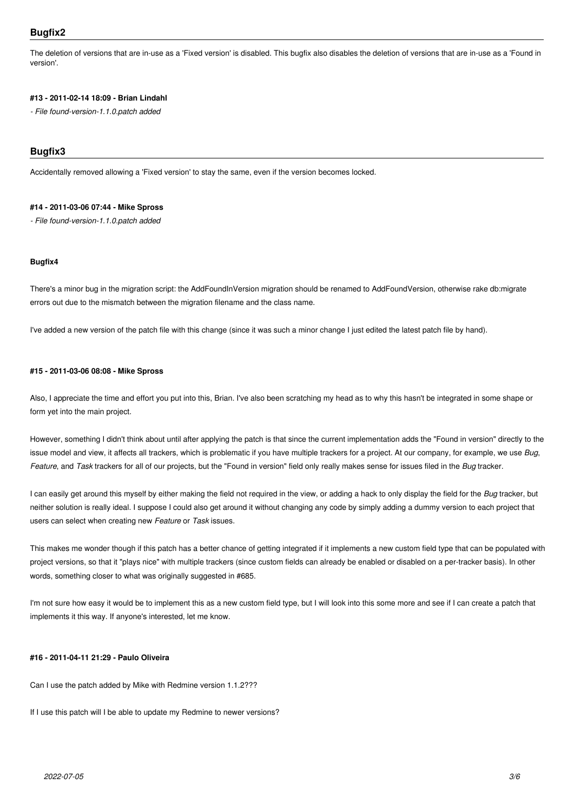The deletion of versions that are in-use as a 'Fixed version' is disabled. This bugfix also disables the deletion of versions that are in-use as a 'Found in version'.

# **#13 - 2011-02-14 18:09 - Brian Lindahl**

*- File found-version-1.1.0.patch added*

# **Bugfix3**

Accidentally removed allowing a 'Fixed version' to stay the same, even if the version becomes locked.

#### **#14 - 2011-03-06 07:44 - Mike Spross**

*- File found-version-1.1.0.patch added*

### **Bugfix4**

There's a minor bug in the migration script: the AddFoundInVersion migration should be renamed to AddFoundVersion, otherwise rake db:migrate errors out due to the mismatch between the migration filename and the class name.

I've added a new version of the patch file with this change (since it was such a minor change I just edited the latest patch file by hand).

#### **#15 - 2011-03-06 08:08 - Mike Spross**

Also, I appreciate the time and effort you put into this, Brian. I've also been scratching my head as to why this hasn't be integrated in some shape or form yet into the main project.

However, something I didn't think about until after applying the patch is that since the current implementation adds the "Found in version" directly to the issue model and view, it affects all trackers, which is problematic if you have multiple trackers for a project. At our company, for example, we use *Bug*, *Feature*, and *Task* trackers for all of our projects, but the "Found in version" field only really makes sense for issues filed in the *Bug* tracker.

I can easily get around this myself by either making the field not required in the view, or adding a hack to only display the field for the *Bug* tracker, but neither solution is really ideal. I suppose I could also get around it without changing any code by simply adding a dummy version to each project that users can select when creating new *Feature* or *Task* issues.

This makes me wonder though if this patch has a better chance of getting integrated if it implements a new custom field type that can be populated with project versions, so that it "plays nice" with multiple trackers (since custom fields can already be enabled or disabled on a per-tracker basis). In other words, something closer to what was originally suggested in #685.

I'm not sure how easy it would be to implement this as a new custom field type, but I will look into this some more and see if I can create a patch that implements it this way. If anyone's interested, let me know.

# **#16 - 2011-04-11 21:29 - Paulo Oliveira**

Can I use the patch added by Mike with Redmine version 1.1.2???

If I use this patch will I be able to update my Redmine to newer versions?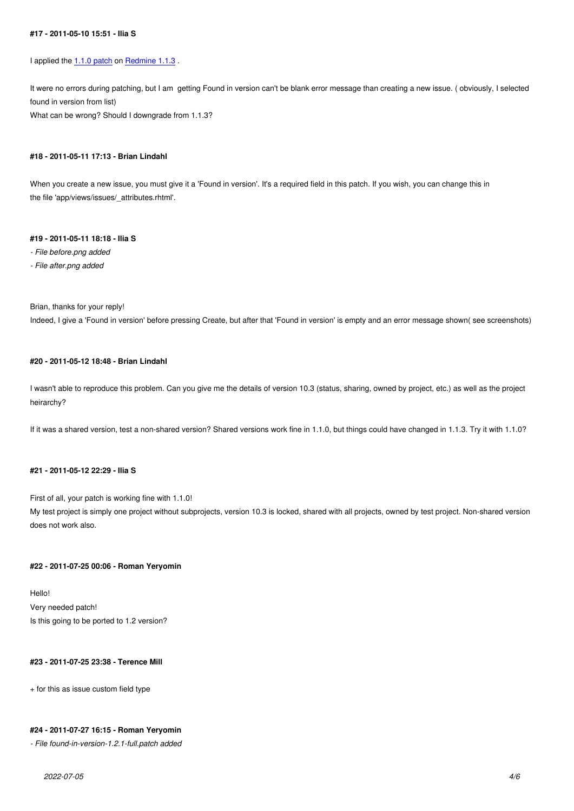I applied the 1.1.0 patch on Redmine 1.1.3.

It were no errors during patching, but I am getting Found in version can't be blank error message than creating a new issue. ( obviously, I selected found in vers[ion from list](http://www.redmine.org/attachments/5517/found-version-1.1.0.patch))

What can be wrong? Shoul[d I downgrade f](http://www.redmine.org/projects/redmine/versions/34)rom 1.1.3?

#### **#18 - 2011-05-11 17:13 - Brian Lindahl**

When you create a new issue, you must give it a 'Found in version'. It's a required field in this patch. If you wish, you can change this in the file 'app/views/issues/\_attributes.rhtml'.

#### **#19 - 2011-05-11 18:18 - Ilia S**

- *File before.png added*
- *File after.png added*

Brian, thanks for your reply!

Indeed, I give a 'Found in version' before pressing Create, but after that 'Found in version' is empty and an error message shown( see screenshots)

### **#20 - 2011-05-12 18:48 - Brian Lindahl**

I wasn't able to reproduce this problem. Can you give me the details of version 10.3 (status, sharing, owned by project, etc.) as well as the project heirarchy?

If it was a shared version, test a non-shared version? Shared versions work fine in 1.1.0, but things could have changed in 1.1.3. Try it with 1.1.0?

### **#21 - 2011-05-12 22:29 - Ilia S**

First of all, your patch is working fine with 1.1.0!

My test project is simply one project without subprojects, version 10.3 is locked, shared with all projects, owned by test project. Non-shared version does not work also.

#### **#22 - 2011-07-25 00:06 - Roman Yeryomin**

Hello! Very needed patch! Is this going to be ported to 1.2 version?

### **#23 - 2011-07-25 23:38 - Terence Mill**

+ for this as issue custom field type

### **#24 - 2011-07-27 16:15 - Roman Yeryomin**

*- File found-in-version-1.2.1-full.patch added*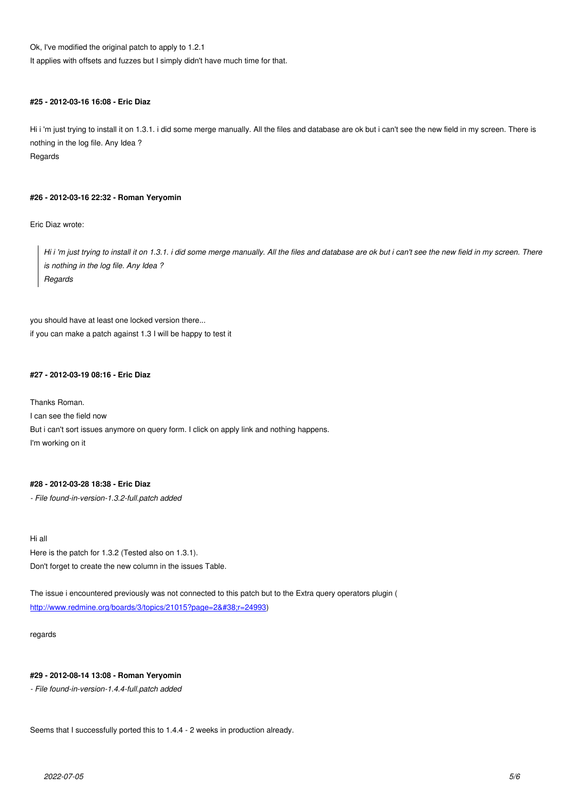Ok, I've modified the original patch to apply to 1.2.1

It applies with offsets and fuzzes but I simply didn't have much time for that.

### **#25 - 2012-03-16 16:08 - Eric Diaz**

Hi i 'm just trying to install it on 1.3.1. i did some merge manually. All the files and database are ok but i can't see the new field in my screen. There is nothing in the log file. Any Idea ? Regards

### **#26 - 2012-03-16 22:32 - Roman Yeryomin**

Eric Diaz wrote:

*Hi i 'm just trying to install it on 1.3.1. i did some merge manually. All the files and database are ok but i can't see the new field in my screen. There is nothing in the log file. Any Idea ? Regards*

you should have at least one locked version there... if you can make a patch against 1.3 I will be happy to test it

# **#27 - 2012-03-19 08:16 - Eric Diaz**

Thanks Roman. I can see the field now But i can't sort issues anymore on query form. I click on apply link and nothing happens. I'm working on it

# **#28 - 2012-03-28 18:38 - Eric Diaz**

*- File found-in-version-1.3.2-full.patch added*

Hi all Here is the patch for 1.3.2 (Tested also on 1.3.1). Don't forget to create the new column in the issues Table.

The issue i encountered previously was not connected to this patch but to the Extra query operators plugin ( http://www.redmine.org/boards/3/topics/21015?page=2&r=24993)

regards

# **#29 - 2012-08-14 13:08 - Roman Yeryomin**

*- File found-in-version-1.4.4-full.patch added*

Seems that I successfully ported this to 1.4.4 - 2 weeks in production already.